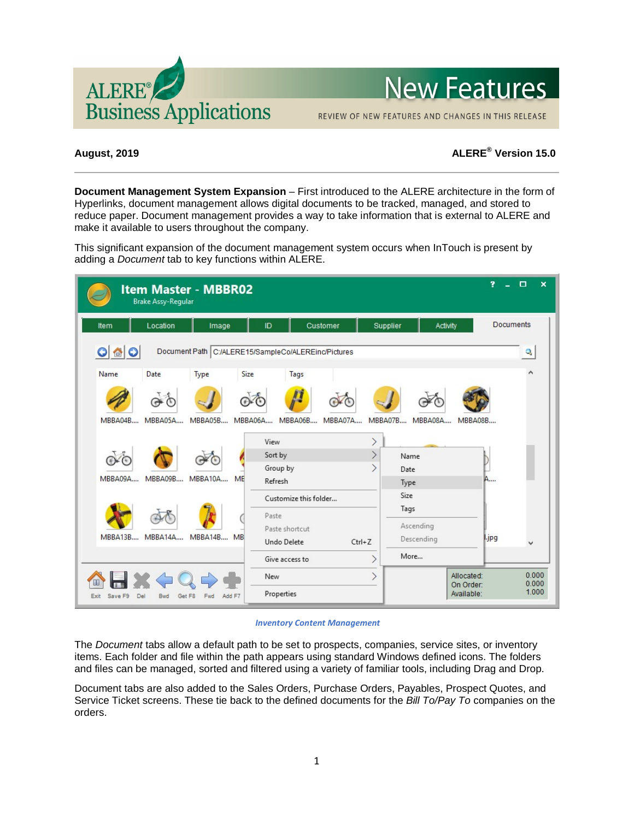

# **New Features**

REVIEW OF NEW FEATURES AND CHANGES IN THIS RELEASE

# **August, 2019 ALERE® Version 15.0**

**Document Management System Expansion** – First introduced to the ALERE architecture in the form of Hyperlinks, document management allows digital documents to be tracked, managed, and stored to reduce paper. Document management provides a way to take information that is external to ALERE and make it available to users throughout the company.

This significant expansion of the document management system occurs when InTouch is present by adding a *Document* tab to key functions within ALERE.



#### *Inventory Content Management*

The *Document* tabs allow a default path to be set to prospects, companies, service sites, or inventory items. Each folder and file within the path appears using standard Windows defined icons. The folders and files can be managed, sorted and filtered using a variety of familiar tools, including Drag and Drop.

Document tabs are also added to the Sales Orders, Purchase Orders, Payables, Prospect Quotes, and Service Ticket screens. These tie back to the defined documents for the *Bill To/Pay To* companies on the orders.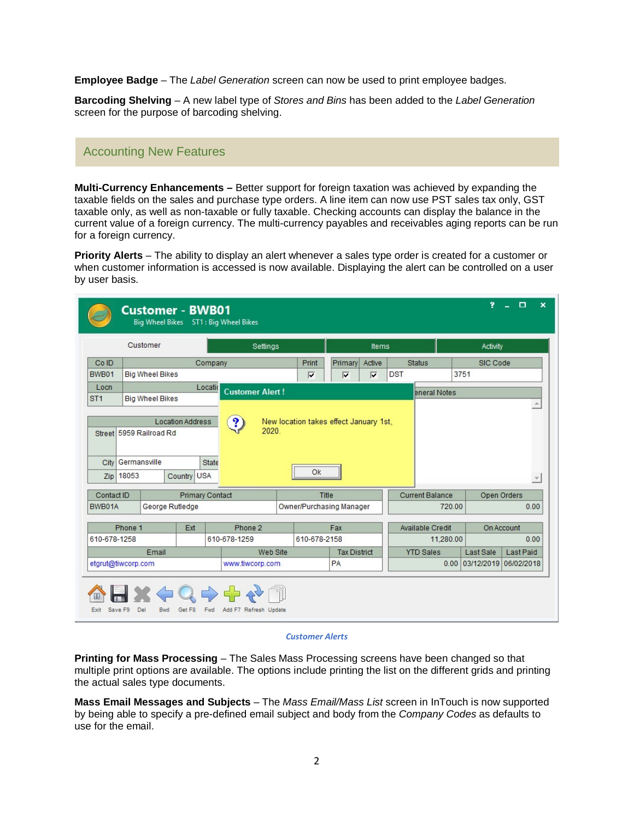**Employee Badge** – The *Label Generation* screen can now be used to print employee badges.

**Barcoding Shelving** – A new label type of *Stores and Bins* has been added to the *Label Generation* screen for the purpose of barcoding shelving.

# Accounting New Features

**Multi-Currency Enhancements –** Better support for foreign taxation was achieved by expanding the taxable fields on the sales and purchase type orders. A line item can now use PST sales tax only, GST taxable only, as well as non-taxable or fully taxable. Checking accounts can display the balance in the current value of a foreign currency. The multi-currency payables and receivables aging reports can be run for a foreign currency.

**Priority Alerts** – The ability to display an alert whenever a sales type order is created for a customer or when customer information is accessed is now available. Displaying the alert can be controlled on a user by user basis.

|                                | Customer                |                         | Settings                          |                         |                                        | Items                   |            |                               | Activity  |                           |
|--------------------------------|-------------------------|-------------------------|-----------------------------------|-------------------------|----------------------------------------|-------------------------|------------|-------------------------------|-----------|---------------------------|
| Co ID                          |                         |                         | Company                           | Print                   | Primary                                | Active                  |            | <b>Status</b>                 | SIC Code  |                           |
| BWB01                          | <b>Big Wheel Bikes</b>  |                         |                                   | $\overline{\mathbf{v}}$ | $\overline{\mathbf{v}}$                | $\overline{\mathbf{v}}$ | <b>DST</b> |                               | 3751      |                           |
| Locn<br>ST <sub>1</sub>        | <b>Big Wheel Bikes</b>  |                         | Locatio<br><b>Customer Alert!</b> |                         |                                        |                         |            | eneral Notes                  |           | $\Delta$                  |
|                                | Street 5959 Railroad Rd | <b>Location Address</b> | $\mathbf{P}$<br>2020.             |                         | New location takes effect January 1st, |                         |            |                               |           |                           |
| City Germansville<br>Zip 18053 |                         | Country USA             | State                             | <br>Ok                  |                                        |                         |            |                               |           |                           |
| Contact ID                     |                         |                         | <b>Primary Contact</b>            | Title                   |                                        |                         |            | <b>Current Balance</b>        |           | Open Orders               |
|                                | George Rutledge         |                         |                                   |                         | Owner/Purchasing Manager               |                         |            | 720.00                        |           |                           |
| Phone 1                        |                         | Ext                     | Phone 2                           |                         | Fax                                    |                         |            | Available Credit              |           | On Account                |
| BWB01A<br>610-678-1258         | Email                   |                         | 610-678-1259<br>Web Site          | 610-678-2158            | <b>Tax District</b>                    |                         |            | 11,280.00<br><b>YTD Sales</b> | Last Sale | 0.00<br>0.00<br>Last Paid |

### *Customer Alerts*

**Printing for Mass Processing** – The Sales Mass Processing screens have been changed so that multiple print options are available. The options include printing the list on the different grids and printing the actual sales type documents.

**Mass Email Messages and Subjects** – The *Mass Email/Mass List* screen in InTouch is now supported by being able to specify a pre-defined email subject and body from the *Company Codes* as defaults to use for the email.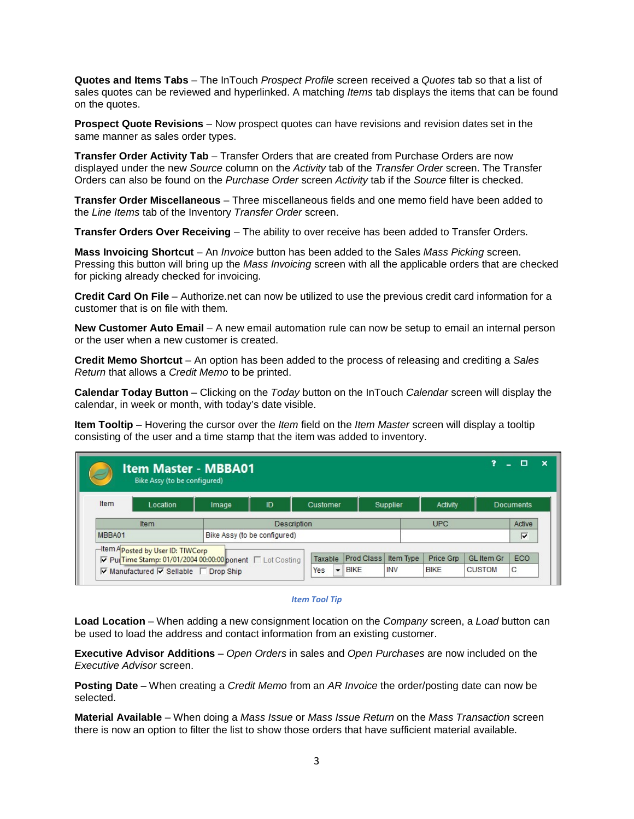**Quotes and Items Tabs** – The InTouch *Prospect Profile* screen received a *Quotes* tab so that a list of sales quotes can be reviewed and hyperlinked. A matching *Items* tab displays the items that can be found on the quotes.

**Prospect Quote Revisions** – Now prospect quotes can have revisions and revision dates set in the same manner as sales order types.

**Transfer Order Activity Tab** – Transfer Orders that are created from Purchase Orders are now displayed under the new *Source* column on the *Activity* tab of the *Transfer Order* screen. The Transfer Orders can also be found on the *Purchase Order* screen *Activity* tab if the *Source* filter is checked.

**Transfer Order Miscellaneous** – Three miscellaneous fields and one memo field have been added to the *Line Items* tab of the Inventory *Transfer Order* screen.

**Transfer Orders Over Receiving** – The ability to over receive has been added to Transfer Orders.

**Mass Invoicing Shortcut** – An *Invoice* button has been added to the Sales *Mass Picking* screen. Pressing this button will bring up the *Mass Invoicing* screen with all the applicable orders that are checked for picking already checked for invoicing.

**Credit Card On File** – Authorize.net can now be utilized to use the previous credit card information for a customer that is on file with them.

**New Customer Auto Email** – A new email automation rule can now be setup to email an internal person or the user when a new customer is created.

**Credit Memo Shortcut** – An option has been added to the process of releasing and crediting a *Sales Return* that allows a *Credit Memo* to be printed.

**Calendar Today Button** – Clicking on the *Today* button on the InTouch *Calendar* screen will display the calendar, in week or month, with today's date visible.

**Item Tooltip** – Hovering the cursor over the *Item* field on the *Item Master* screen will display a tooltip consisting of the user and a time stamp that the item was added to inventory.

|        | <b>Item Master - MBBA01</b><br>Bike Assy (to be configured)                                                                                                                  |       |                                             |                     |                           |                         |                          | 7                                  | п                |
|--------|------------------------------------------------------------------------------------------------------------------------------------------------------------------------------|-------|---------------------------------------------|---------------------|---------------------------|-------------------------|--------------------------|------------------------------------|------------------|
| Item   | Location                                                                                                                                                                     | Image | ID                                          | Customer            |                           | Supplier                | Activity                 |                                    | <b>Documents</b> |
| MBBA01 | Item                                                                                                                                                                         |       | Description<br>Bike Assy (to be configured) |                     |                           |                         | <b>UPC</b>               |                                    | Active<br>⊽      |
|        | Hem Aposted by User ID: TIWCorp<br>V PuiTime Stamp: 01/01/2004 00:00:00 ponent □ Lot Costing<br>$\overline{\vee}$ Manufactured $\overline{\vee}$ Sellable $\Gamma$ Drop Ship |       |                                             | Taxable<br>Yes<br>▼ | Prod Class<br><b>BIKE</b> | Item Type<br><b>INV</b> | Price Grp<br><b>BIKE</b> | <b>GL</b> Item Gr<br><b>CUSTOM</b> | ECO<br>С         |

#### *Item Tool Tip*

**Load Location** – When adding a new consignment location on the *Company* screen, a *Load* button can be used to load the address and contact information from an existing customer.

**Executive Advisor Additions** – *Open Orders* in sales and *Open Purchases* are now included on the *Executive Advisor* screen.

**Posting Date** – When creating a *Credit Memo* from an *AR Invoice* the order/posting date can now be selected.

**Material Available** – When doing a *Mass Issue* or *Mass Issue Return* on the *Mass Transaction* screen there is now an option to filter the list to show those orders that have sufficient material available.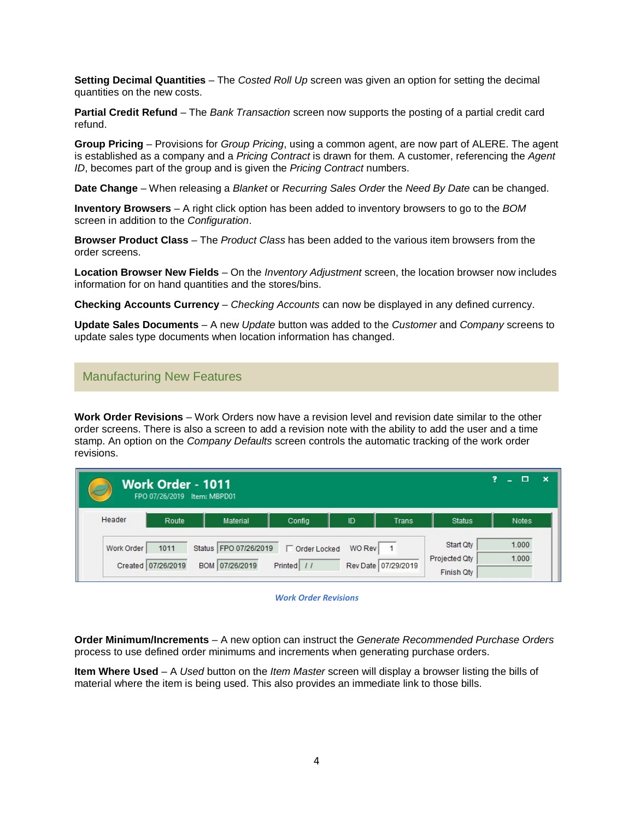**Setting Decimal Quantities** – The *Costed Roll Up* screen was given an option for setting the decimal quantities on the new costs.

**Partial Credit Refund** – The *Bank Transaction* screen now supports the posting of a partial credit card refund.

**Group Pricing** – Provisions for *Group Pricing*, using a common agent, are now part of ALERE. The agent is established as a company and a *Pricing Contract* is drawn for them. A customer, referencing the *Agent ID*, becomes part of the group and is given the *Pricing Contract* numbers.

**Date Change** – When releasing a *Blanket* or *Recurring Sales Order* the *Need By Date* can be changed.

**Inventory Browsers** – A right click option has been added to inventory browsers to go to the *BOM* screen in addition to the *Configuration*.

**Browser Product Class** – The *Product Class* has been added to the various item browsers from the order screens.

**Location Browser New Fields** – On the *Inventory Adjustment* screen, the location browser now includes information for on hand quantities and the stores/bins.

**Checking Accounts Currency** – *Checking Accounts* can now be displayed in any defined currency.

**Update Sales Documents** – A new *Update* button was added to the *Customer* and *Company* screens to update sales type documents when location information has changed.

# Manufacturing New Features

**Work Order Revisions** – Work Orders now have a revision level and revision date similar to the other order screens. There is also a screen to add a revision note with the ability to add the user and a time stamp. An option on the *Company Defaults* screen controls the automatic tracking of the work order revisions.

|            | Work Order - 1011<br>FPO 07/26/2019 Item: MBPD01 |                                           |                              |        |                       |                                          | 7<br>$\mathbf x$<br>П |
|------------|--------------------------------------------------|-------------------------------------------|------------------------------|--------|-----------------------|------------------------------------------|-----------------------|
| Header     | Route                                            | <b>Material</b>                           | Config                       | ID     | Trans                 | <b>Status</b>                            | Notes                 |
| Work Order | 1011<br>Created 07/26/2019                       | Status   FPO 07/26/2019<br>BOM 07/26/2019 | □ Order Locked<br>Printed // | WO Rev | Rev Date   07/29/2019 | Start Qty<br>Projected Qty<br>Finish Qty | 1.000<br>1.000        |

*Work Order Revisions*

**Order Minimum/Increments** – A new option can instruct the *Generate Recommended Purchase Orders* process to use defined order minimums and increments when generating purchase orders.

**Item Where Used** – A *Used* button on the *Item Master* screen will display a browser listing the bills of material where the item is being used. This also provides an immediate link to those bills.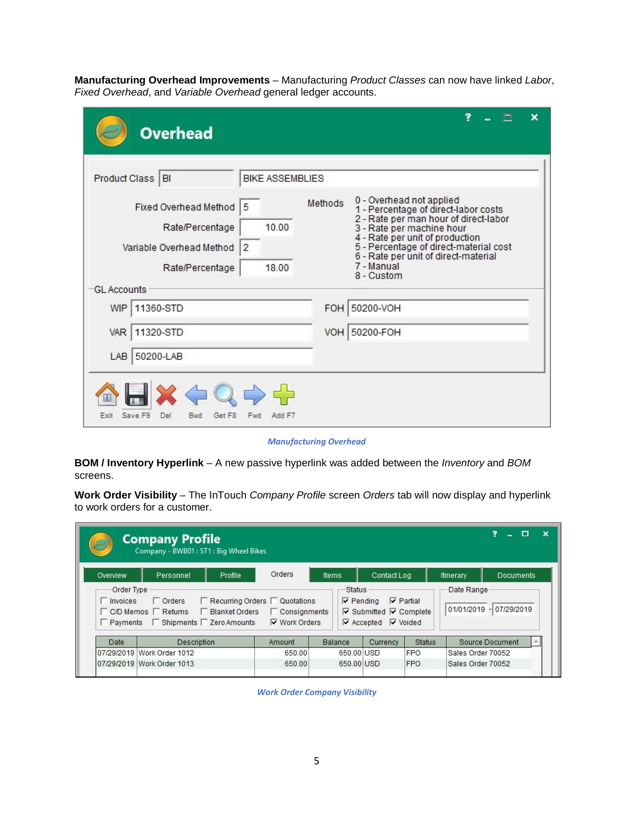**Manufacturing Overhead Improvements** – Manufacturing *Product Classes* can now have linked *Labor*, *Fixed Overhead*, and *Variable Overhead* general ledger accounts.

| <b>Overhead</b><br>Product Class BI                                                                            | <b>BIKE ASSEMBLIES</b>                |         |                                                                                                                                                                                                                                                                                         |
|----------------------------------------------------------------------------------------------------------------|---------------------------------------|---------|-----------------------------------------------------------------------------------------------------------------------------------------------------------------------------------------------------------------------------------------------------------------------------------------|
| <b>Fixed Overhead Method</b><br>Rate/Percentage<br>Variable Overhead Method<br>Rate/Percentage<br>-GL Accounts | 5<br>10.00<br>$\overline{2}$<br>18.00 | Methods | 0 - Overhead not applied<br>1 - Percentage of direct-labor costs<br>2 - Rate per man hour of direct-labor<br>3 - Rate per machine hour<br>4 - Rate per unit of production<br>5 - Percentage of direct-material cost<br>6 - Rate per unit of direct-material<br>7 - Manual<br>8 - Custom |
| 11360-STD<br>WIP                                                                                               |                                       | FOH     | 50200-VOH                                                                                                                                                                                                                                                                               |
| 11320-STD<br>VAR                                                                                               |                                       | VOH     | 50200-FOH                                                                                                                                                                                                                                                                               |
| LAB 50200-LAB<br>$\blacksquare$ X $\Leftrightarrow$ Q                                                          | 55                                    |         |                                                                                                                                                                                                                                                                                         |

*Manufacturing Overhead*

**BOM / Inventory Hyperlink** – A new passive hyperlink was added between the *Inventory* and *BOM* screens.

**Work Order Visibility** – The InTouch *Company Profile* screen *Orders* tab will now display and hyperlink to work orders for a customer.

|                               | <b>Company Profile</b><br>Company - BWB01: ST1: Big Wheel Bikes                                |                  |                                                                                          |                |                                   |                                                                                         |                                 |                                       |                        | о | $\boldsymbol{\mathsf{x}}$ |
|-------------------------------|------------------------------------------------------------------------------------------------|------------------|------------------------------------------------------------------------------------------|----------------|-----------------------------------|-----------------------------------------------------------------------------------------|---------------------------------|---------------------------------------|------------------------|---|---------------------------|
| Overview                      | Personnel                                                                                      | Profile          | <b>Orders</b>                                                                            | <b>Items</b>   |                                   | Contact Log                                                                             |                                 | Itinerary                             | <b>Documents</b>       |   |                           |
| Order Type<br>$\Box$ Invoices | $\Box$ Orders<br>□ C/D Memos □ Returns<br>$\Box$ Payments $\Box$ Shipments $\Box$ Zero Amounts | □ Blanket Orders | $\Box$ Recurring Orders $\Box$ Quotations<br>$\Box$ Consignments<br><b>▼ Work Orders</b> |                | <b>Status</b><br>$\nabla$ Pending | $\nabla$ Submitted $\nabla$ Complete<br>$\triangledown$ Accepted $\triangledown$ Voided | $\overline{\mathbf{v}}$ Partial | Date Range<br>01/01/2019 - 07/29/2019 |                        |   |                           |
| Date                          | Description                                                                                    |                  | Amount                                                                                   | <b>Balance</b> |                                   | Currency                                                                                | <b>Status</b>                   |                                       | <b>Source Document</b> |   |                           |
|                               | 07/29/2019 Work Order 1012                                                                     |                  | 650.00                                                                                   |                | 650,00 USD                        |                                                                                         | <b>FPO</b>                      | Sales Order 70052                     |                        |   |                           |
|                               | 07/29/2019 Work Order 1013                                                                     |                  | 650.00                                                                                   |                | 650.00 USD                        |                                                                                         | <b>FPO</b>                      | Sales Order 70052                     |                        |   |                           |

*Work Order Company Visibility*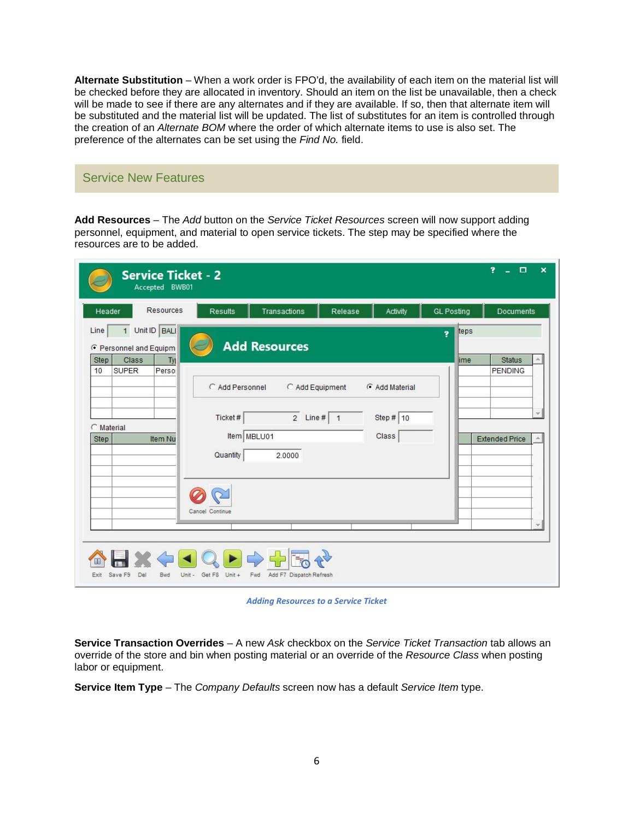**Alternate Substitution** – When a work order is FPO'd, the availability of each item on the material list will be checked before they are allocated in inventory. Should an item on the list be unavailable, then a check will be made to see if there are any alternates and if they are available. If so, then that alternate item will be substituted and the material list will be updated. The list of substitutes for an item is controlled through the creation of an *Alternate BOM* where the order of which alternate items to use is also set. The preference of the alternates can be set using the *Find No.* field.

# Service New Features

**Add Resources** – The *Add* button on the *Service Ticket Resources* screen will now support adding personnel, equipment, and material to open service tickets. The step may be specified where the resources are to be added.

|                                                                                                           | <b>Service Ticket - 2</b><br>Accepted BWB01 |                                                                          |                                                                                                                                                                                                                                                                                                                                                                                                                                                                                                                                                                                             |         |                                        |                    | 2<br>$\Box$<br>$\boldsymbol{\mathsf{x}}$<br>u.                                                                |
|-----------------------------------------------------------------------------------------------------------|---------------------------------------------|--------------------------------------------------------------------------|---------------------------------------------------------------------------------------------------------------------------------------------------------------------------------------------------------------------------------------------------------------------------------------------------------------------------------------------------------------------------------------------------------------------------------------------------------------------------------------------------------------------------------------------------------------------------------------------|---------|----------------------------------------|--------------------|---------------------------------------------------------------------------------------------------------------|
| Header                                                                                                    | Resources                                   | <b>Results</b>                                                           | Transactions                                                                                                                                                                                                                                                                                                                                                                                                                                                                                                                                                                                | Release | Activity                               | <b>GL Posting</b>  | Documents                                                                                                     |
| Line<br>C Personnel and Equipm<br><b>Class</b><br><b>Step</b><br><b>SUPER</b><br>10<br>C Material<br>Step | 1 Unit ID BALI<br>Ty<br>Perso<br>Item Nu    | C Add Personnel<br>Ticket#<br>Item MBLU01<br>Quantity<br>Cancel Continue | <b>Add Resources</b><br>C Add Equipment<br>$2$ Line # $1$<br>2.0000                                                                                                                                                                                                                                                                                                                                                                                                                                                                                                                         |         | G Add Material<br>Step $# 10$<br>Class | teps<br>Ÿ.<br>lime | <b>Status</b><br>盀<br><b>PENDING</b><br>$\overline{\psi}$<br><b>Extended Price</b><br>$\overline{\mathbf{v}}$ |
| Save F9<br>Exit                                                                                           | Del<br>Unit -<br>Bwd                        | Get F8<br>$Unit +$                                                       | $\left\langle \mathbf{1} \right  \mathbf{1} \right  \left\langle \mathbf{1} \right  \mathbf{1} \right  \left\langle \mathbf{1} \right  \left\langle \mathbf{1} \right  \left\langle \mathbf{1} \right  \left\langle \mathbf{1} \right  \left\langle \mathbf{1} \right  \left\langle \mathbf{1} \right  \left\langle \mathbf{1} \right  \left\langle \mathbf{1} \right  \left\langle \mathbf{1} \right  \left\langle \mathbf{1} \right  \left\langle \mathbf{1} \right  \left\langle \mathbf{1} \right  \left\langle \mathbf{1} \right  \left\langle \mathbf$<br>Fwd Add F7 Dispatch Refresh |         |                                        |                    |                                                                                                               |

*Adding Resources to a Service Ticket*

**Service Transaction Overrides** – A new *Ask* checkbox on the *Service Ticket Transaction* tab allows an override of the store and bin when posting material or an override of the *Resource Class* when posting labor or equipment.

**Service Item Type** – The *Company Defaults* screen now has a default *Service Item* type.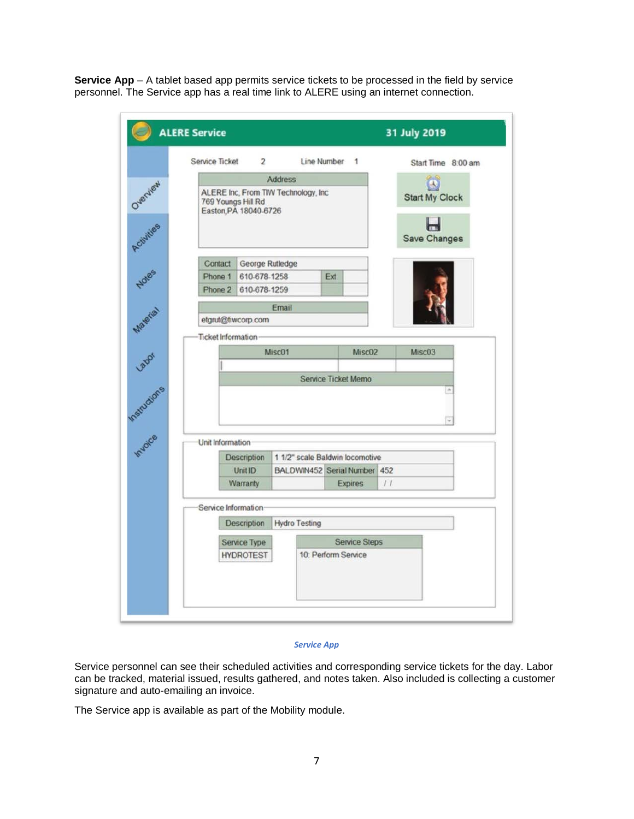**Service App** – A tablet based app permits service tickets to be processed in the field by service personnel. The Service app has a real time link to ALERE using an internet connection.

| Service Ticket   | $\overline{2}$                                            |                      | Line Number 1                   |                      | Start Time 8:00 am    |
|------------------|-----------------------------------------------------------|----------------------|---------------------------------|----------------------|-----------------------|
|                  |                                                           | <b>Address</b>       |                                 |                      |                       |
|                  | ALERE Inc, From TIW Technology, Inc<br>769 Youngs Hill Rd |                      |                                 |                      | <b>Start My Clock</b> |
|                  | Easton, PA 18040-6726                                     |                      |                                 |                      |                       |
|                  |                                                           |                      |                                 |                      | Save Changes          |
|                  |                                                           |                      |                                 |                      |                       |
| Contact          | George Rutledge                                           |                      |                                 |                      |                       |
| Phone 1          | 610-678-1258                                              |                      | Ext                             |                      |                       |
| Phone 2          | 610-678-1259                                              |                      |                                 |                      |                       |
|                  |                                                           | Email                |                                 |                      |                       |
|                  | etgrut@tiwcorp.com                                        |                      |                                 |                      |                       |
|                  | <b>Ticket Information</b>                                 |                      |                                 |                      |                       |
|                  |                                                           | Misc01               |                                 | Misc02               | Misc03                |
|                  |                                                           |                      |                                 |                      |                       |
|                  |                                                           |                      |                                 |                      |                       |
|                  |                                                           |                      | <b>Service Ticket Memo</b>      |                      |                       |
|                  |                                                           |                      |                                 |                      | $\sim$                |
|                  |                                                           |                      |                                 |                      | w                     |
|                  |                                                           |                      |                                 |                      |                       |
| Unit Information |                                                           |                      |                                 |                      |                       |
|                  | <b>Description</b>                                        |                      | 1 1/2" scale Baldwin locomotive |                      |                       |
|                  | Unit ID                                                   |                      | BALDWIN452 Serial Number 452    |                      |                       |
|                  | Warranty                                                  |                      |                                 | <b>Expires</b>       | 11                    |
|                  | Service Information                                       |                      |                                 |                      |                       |
|                  | <b>Description</b>                                        | <b>Hydro Testing</b> |                                 |                      |                       |
|                  |                                                           |                      |                                 |                      |                       |
|                  | Service Type<br><b>HYDROTEST</b>                          |                      | 10: Perform Service             | <b>Service Steps</b> |                       |
|                  |                                                           |                      |                                 |                      |                       |

### *Service App*

Service personnel can see their scheduled activities and corresponding service tickets for the day. Labor can be tracked, material issued, results gathered, and notes taken. Also included is collecting a customer signature and auto-emailing an invoice.

The Service app is available as part of the Mobility module.